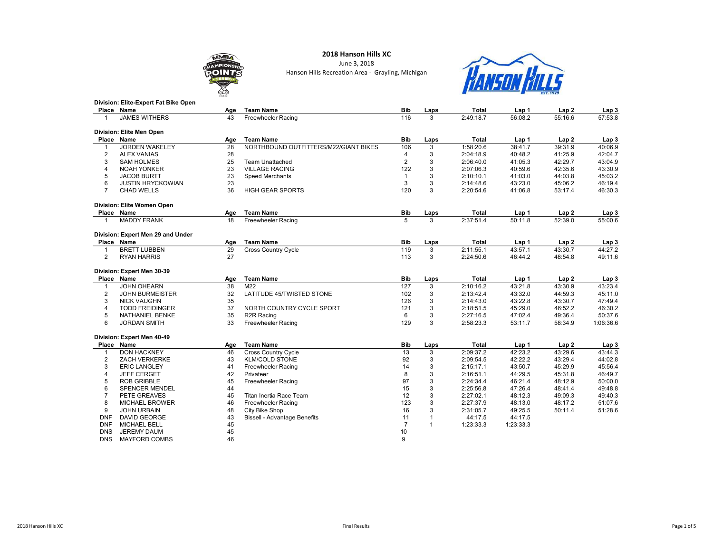### **MMB OIN**

### 2018 Hanson Hills XC June 3, 2018 Hanson Hills Recreation Area - Grayling, Michigan



| <b>PERSONAL PROPERTY</b><br>∞ |                                      |     | <b>THREEK THEES</b><br><b>EST. 1929</b> |            |      |           |         |         |                  |
|-------------------------------|--------------------------------------|-----|-----------------------------------------|------------|------|-----------|---------|---------|------------------|
|                               | Division: Elite-Expert Fat Bike Open |     |                                         |            |      |           |         |         |                  |
|                               | Place Name                           | Age | <b>Team Name</b>                        | <b>Bib</b> | Laps | Total     | Lap 1   | Lap 2   | Lap <sub>3</sub> |
|                               | <b>JAMES WITHERS</b>                 | 43  | Freewheeler Racing                      | 116        |      | 2:49:18.7 | 56:08.2 | 55:16.6 | 57:53.8          |
|                               | Division: Elite Men Open             |     |                                         |            |      |           |         |         |                  |
|                               | Place Name                           | Age | <b>Team Name</b>                        | <b>Bib</b> | Laps | Total     | Lap 1   | Lap 2   | Lap <sub>3</sub> |
|                               | <b>JORDEN WAKELEY</b>                | 28  | NORTHBOUND OUTFITTERS/M22/GIANT BIKES   | 106        |      | 1:58:20.6 | 38:41.7 | 39:31.9 | 40:06.9          |

|       | <b>JORDEN WAKELEY</b>             | 28  | NORTHBOUND OUTFITTERS/M22/GIANT BIKES | 106        | 3    | 1:58:20.6 | 38:41.7 | 39:31.9          | 40:06.9          |
|-------|-----------------------------------|-----|---------------------------------------|------------|------|-----------|---------|------------------|------------------|
| 2     | <b>ALEX VANIAS</b>                | 28  |                                       | 4          | 3    | 2:04:18.9 | 40:48.2 | 41:25.9          | 42:04.7          |
| 3     | <b>SAM HOLMES</b>                 | 25  | Team Unattached                       | 2          | 3    | 2:06:40.0 | 41:05.3 | 42:29.7          | 43:04.9          |
| 4     | <b>NOAH YONKER</b>                | 23  | <b>VILLAGE RACING</b>                 | 122        | 3    | 2:07:06.3 | 40:59.6 | 42:35.6          | 43:30.9          |
| 5     | <b>JACOB BURTT</b>                | 23  | Speed Merchants                       |            |      | 2:10:10.1 | 41:03.0 | 44:03.8          | 45:03.2          |
| 6     | <b>JUSTIN HRYCKOWIAN</b>          | 23  |                                       | 3          |      | 2:14:48.6 | 43:23.0 | 45:06.2          | 46:19.4          |
|       | CHAD WELLS                        | 36  | <b>HIGH GEAR SPORTS</b>               | 120        | 3    | 2:20:54.6 | 41:06.8 | 53:17.4          | 46:30.3          |
|       |                                   |     |                                       |            |      |           |         |                  |                  |
|       | Division: Elite Women Open        |     |                                       |            |      |           |         |                  |                  |
|       | Place Name                        | Age | <b>Team Name</b>                      | <b>Bib</b> | Laps | Total     | Lap 1   | Lap <sub>2</sub> | Lap <sub>3</sub> |
|       | <b>MADDY FRANK</b>                | 18  | <b>Freewheeler Racing</b>             | 5          | 3    | 2:37:51.4 | 50:11.8 | 52:39.0          | 55:00.6          |
|       | Division: Expert Men 29 and Under |     |                                       |            |      |           |         |                  |                  |
| Place | Name                              | Age | <b>Team Name</b>                      | <b>Bib</b> | Laps | Total     | Lap 1   | Lap <sub>2</sub> | Lap 3            |
|       | <b>BRETT LUBBEN</b>               | 29  | <b>Cross Country Cycle</b>            | 119        | 3    | 2:11:55.1 | 43:57.1 | 43:30.7          | 44:27.2          |

#### Division: Expert Men 30-39

|            | <b>DIVISION, LAPER MEN JU-93</b> |     |                              |            |      |           |           |                  |           |
|------------|----------------------------------|-----|------------------------------|------------|------|-----------|-----------|------------------|-----------|
|            | Place Name                       | Age | <b>Team Name</b>             | <b>Bib</b> | Laps | Total     | Lap 1     | Lap <sub>2</sub> | Lap 3     |
|            | JOHN OHEARN                      | 38  | M22                          | 127        | 3    | 2:10:16.2 | 43:21.8   | 43:30.9          | 43:23.4   |
|            | <b>JOHN BURMEISTER</b>           | 32  | LATITUDE 45/TWISTED STONE    | 102        | 3    | 2:13:42.4 | 43:32.0   | 44:59.3          | 45:11.0   |
| 3          | <b>NICK VAUGHN</b>               | 35  |                              | 126        | 3    | 2:14:43.0 | 43:22.8   | 43:30.7          | 47:49.4   |
|            | <b>TODD FREIDINGER</b>           | 37  | NORTH COUNTRY CYCLE SPORT    | 121        | 3    | 2:18:51.5 | 45:29.0   | 46:52.2          | 46:30.2   |
| 5          | <b>NATHANIEL BENKE</b>           | 35  | R <sub>2R</sub> Racing       | 6          | 3    | 2:27:16.5 | 47:02.4   | 49:36.4          | 50:37.6   |
| 6          | <b>JORDAN SMITH</b>              | 33  | Freewheeler Racing           | 129        | 3    | 2:58:23.3 | 53:11.7   | 58:34.9          | 1:06:36.6 |
|            | Division: Expert Men 40-49       |     |                              |            |      |           |           |                  |           |
|            | Place Name                       | Age | <b>Team Name</b>             | <b>Bib</b> | Laps | Total     | Lap 1     | Lap2             | Lap 3     |
|            | <b>DON HACKNEY</b>               | 46  | <b>Cross Country Cycle</b>   | 13         | 3    | 2:09:37.2 | 42:23.2   | 43:29.6          | 43:44.3   |
|            | <b>ZACH VERKERKE</b>             | 43  | <b>KLM/COLD STONE</b>        | 92         | 3    | 2:09:54.5 | 42:22.2   | 43:29.4          | 44:02.8   |
| 3          | <b>ERIC LANGLEY</b>              | 41  | <b>Freewheeler Racing</b>    | 14         | 3    | 2:15:17.1 | 43:50.7   | 45:29.9          | 45:56.4   |
|            | <b>JEFF CERGET</b>               | 42  | Privateer                    | 8          | 3    | 2:16:51.1 | 44:29.5   | 45:31.8          | 46:49.7   |
| 5          | <b>ROB GRIBBLE</b>               | 45  | Freewheeler Racing           | 97         | 3    | 2:24:34.4 | 46:21.4   | 48:12.9          | 50:00.0   |
| 6          | <b>SPENCER MENDEL</b>            | 44  |                              | 15         | 3    | 2:25:56.8 | 47:26.4   | 48:41.4          | 49:48.8   |
|            | PETE GREAVES                     | 45  | Titan Inertia Race Team      | 12         | 3    | 2:27:02.1 | 48:12.3   | 49:09.3          | 49:40.3   |
| 8          | <b>MICHAEL BROWER</b>            | 46  | Freewheeler Racing           | 123        | 3    | 2:27:37.9 | 48:13.0   | 48:17.2          | 51:07.6   |
| 9          | <b>JOHN URBAIN</b>               | 48  | City Bike Shop               | 16         | 3    | 2:31:05.7 | 49:25.5   | 50:11.4          | 51:28.6   |
| <b>DNF</b> | <b>DAVID GEORGE</b>              | 43  | Bissell - Advantage Benefits | 11         |      | 44:17.5   | 44:17.5   |                  |           |
| <b>DNF</b> | <b>MICHAEL BELL</b>              | 45  |                              |            |      | 1:23:33.3 | 1:23:33.3 |                  |           |
| <b>DNS</b> | <b>JEREMY DAUM</b>               | 45  |                              | 10         |      |           |           |                  |           |
| <b>DNS</b> | <b>MAYFORD COMBS</b>             | 46  |                              | 9          |      |           |           |                  |           |
|            |                                  |     |                              |            |      |           |           |                  |           |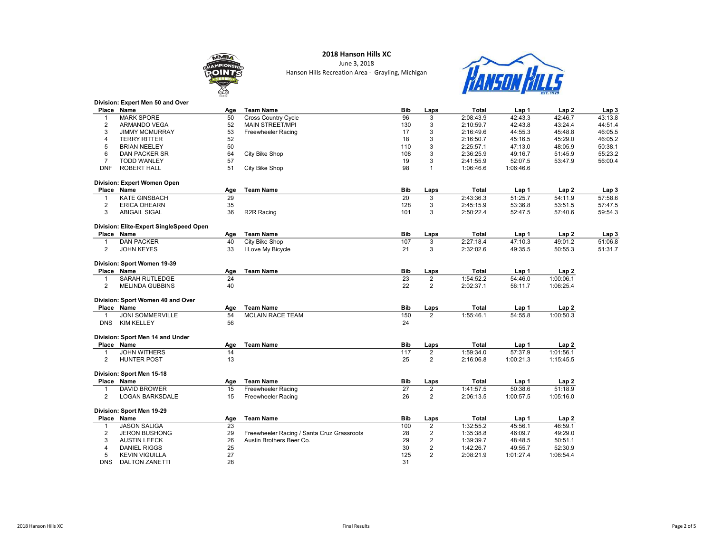## **MMIN**

Division: Expert Men 50 and Over

### 2018 Hanson Hills XC

June 3, 2018 Hanson Hills Recreation Area - Grayling, Michigan



|                | Place Name                              | Age       | <b>Team Name</b>                           | <b>Bib</b> | Laps                    | <b>Total</b> | Lap 1     | Lap <sub>2</sub>   | Lap <sub>3</sub> |
|----------------|-----------------------------------------|-----------|--------------------------------------------|------------|-------------------------|--------------|-----------|--------------------|------------------|
| $\mathbf{1}$   | <b>MARK SPORE</b>                       | 50        | <b>Cross Country Cycle</b>                 | 96         | 3                       | 2:08:43.9    | 42:43.3   | 42:46.7            | 43:13.8          |
| $\overline{2}$ | <b>ARMANDO VEGA</b>                     | 52        | <b>MAIN STREET/MPI</b>                     | 130        | 3                       | 2:10:59.7    | 42:43.8   | 43:24.4            | 44:51.4          |
| 3              | <b>JIMMY MCMURRAY</b>                   | 53        | <b>Freewheeler Racing</b>                  | 17         | 3                       | 2:16:49.6    | 44:55.3   | 45:48.8            | 46:05.5          |
| 4              | <b>TERRY RITTER</b>                     | 52        |                                            | 18         | 3                       | 2:16:50.7    | 45:16.5   | 45:29.0            | 46:05.2          |
| 5              | <b>BRIAN NEELEY</b>                     | 50        |                                            | 110        | 3                       | 2:25:57.1    | 47:13.0   | 48:05.9            | 50:38.1          |
| 6              | DAN PACKER SR                           | 64        | City Bike Shop                             | 108        | 3                       | 2:36:25.9    | 49:16.7   | 51:45.9            | 55:23.2          |
| $\overline{7}$ | <b>TODD WANLEY</b>                      | 57        |                                            | 19         | 3                       | 2:41:55.9    | 52:07.5   | 53:47.9            | 56:00.4          |
| <b>DNF</b>     | <b>ROBERT HALL</b>                      | 51        | City Bike Shop                             | 98         | 1                       | 1:06:46.6    | 1:06:46.6 |                    |                  |
|                | Division: Expert Women Open             |           |                                            |            |                         |              |           |                    |                  |
|                | Place Name                              |           | <b>Team Name</b>                           | <b>Bib</b> |                         | Total        | Lap 1     | Lap <sub>2</sub>   | Lap <sub>3</sub> |
|                | <b>KATE GINSBACH</b>                    | Age<br>29 |                                            | 20         | Laps                    | 2:43:36.3    | 51:25.7   |                    |                  |
| $\mathbf{1}$   |                                         | 35        |                                            | 128        | 3                       | 2:45:15.9    | 53:36.8   | 54:11.9<br>53:51.5 | 57:58.6          |
| $\overline{2}$ | <b>ERICA OHEARN</b>                     |           |                                            |            | 3                       |              |           |                    | 57:47.5          |
| 3              | <b>ABIGAIL SIGAL</b>                    | 36        | R2R Racing                                 | 101        | 3                       | 2:50:22.4    | 52:47.5   | 57:40.6            | 59:54.3          |
|                | Division: Elite-Expert SingleSpeed Open |           |                                            |            |                         |              |           |                    |                  |
|                | Place Name                              | Age       | <b>Team Name</b>                           | <b>Bib</b> | Laps                    | <b>Total</b> | Lap 1     | Lap <sub>2</sub>   | Lap <sub>3</sub> |
| $\mathbf{1}$   | <b>DAN PACKER</b>                       | 40        | City Bike Shop                             | 107        | 3                       | 2:27:18.4    | 47:10.3   | 49:01.2            | 51:06.8          |
| $\overline{2}$ | <b>JOHN KEYES</b>                       | 33        | I Love My Bicycle                          | 21         | 3                       | 2:32:02.6    | 49:35.5   | 50:55.3            | 51:31.7          |
|                | Division: Sport Women 19-39             |           |                                            |            |                         |              |           |                    |                  |
|                | Place Name                              | Age       | <b>Team Name</b>                           | <b>Bib</b> | Laps                    | Total        | Lap 1     | Lap2               |                  |
| $\mathbf{1}$   | <b>SARAH RUTLEDGE</b>                   | 24        |                                            | 23         | $\overline{2}$          | 1:54:52.2    | 54:46.0   | 1:00:06.1          |                  |
| $\overline{2}$ | <b>MELINDA GUBBINS</b>                  | 40        |                                            | 22         | $\overline{2}$          | 2:02:37.1    | 56:11.7   | 1:06:25.4          |                  |
|                |                                         |           |                                            |            |                         |              |           |                    |                  |
|                | Division: Sport Women 40 and Over       |           |                                            |            |                         |              |           |                    |                  |
|                | Place Name                              | Age       | <b>Team Name</b>                           | <b>Bib</b> | Laps                    | <b>Total</b> | Lap 1     | Lap2               |                  |
| $\mathbf{1}$   | <b>JONI SOMMERVILLE</b>                 | 54        | <b>MCLAIN RACE TEAM</b>                    | 150        | 2                       | 1:55:46.1    | 54:55.8   | 1:00:50.3          |                  |
| <b>DNS</b>     | <b>KIM KELLEY</b>                       | 56        |                                            | 24         |                         |              |           |                    |                  |
|                |                                         |           |                                            |            |                         |              |           |                    |                  |
|                | Division: Sport Men 14 and Under        |           |                                            |            |                         |              |           |                    |                  |
|                | Place Name                              | Age       | <b>Team Name</b>                           | <b>Bib</b> | Laps                    | <b>Total</b> | Lap 1     | Lap2               |                  |
| $\mathbf{1}$   | <b>JOHN WITHERS</b>                     | 14        |                                            | 117        | $\overline{\mathbf{c}}$ | 1:59:34.0    | 57:37.9   | 1:01:56.1          |                  |
| 2              | <b>HUNTER POST</b>                      | 13        |                                            | 25         | $\overline{2}$          | 2:16:06.8    | 1:00:21.3 | 1:15:45.5          |                  |
|                | Division: Sport Men 15-18               |           |                                            |            |                         |              |           |                    |                  |
|                |                                         |           |                                            |            |                         |              |           |                    |                  |
|                | Place Name                              | Age       | <b>Team Name</b>                           | <b>Bib</b> | Laps                    | Total        | Lap 1     | Lap <sub>2</sub>   |                  |
| $\mathbf 1$    | <b>DAVID BROWER</b>                     | 15        | Freewheeler Racing                         | 27         | 2                       | 1:41:57.5    | 50:38.6   | 51:18.9            |                  |
| $\overline{2}$ | <b>LOGAN BARKSDALE</b>                  | 15        | <b>Freewheeler Racing</b>                  | 26         | 2                       | 2:06:13.5    | 1:00:57.5 | 1:05:16.0          |                  |
|                | Division: Sport Men 19-29               |           |                                            |            |                         |              |           |                    |                  |
|                | Place Name                              | Age       | <b>Team Name</b>                           | <b>Bib</b> | Laps                    | <b>Total</b> | Lap 1     | Lap <sub>2</sub>   |                  |
| $\mathbf{1}$   | <b>JASON SALIGA</b>                     | 23        |                                            | 100        | $\overline{2}$          | 1:32:55.2    | 45:56.1   | 46:59.1            |                  |
| 2              | <b>JERON BUSHONG</b>                    | 29        | Freewheeler Racing / Santa Cruz Grassroots | 28         | $\boldsymbol{2}$        | 1:35:38.8    | 46:09.7   | 49:29.0            |                  |
| 3              | <b>AUSTIN LEECK</b>                     | 26        | Austin Brothers Beer Co.                   | 29         | 2                       | 1:39:39.7    | 48:48.5   | 50:51.1            |                  |
| $\overline{4}$ | <b>DANIEL RIGGS</b>                     | 25        |                                            | 30         | 2                       | 1:42:26.7    | 49:55.7   | 52:30.9            |                  |
| 5              | <b>KEVIN VIGUILLA</b>                   | 27        |                                            | 125        | $\overline{2}$          | 2:08:21.9    | 1:01:27.4 | 1:06:54.4          |                  |
| <b>DNS</b>     | <b>DALTON ZANETTI</b>                   | 28        |                                            | 31         |                         |              |           |                    |                  |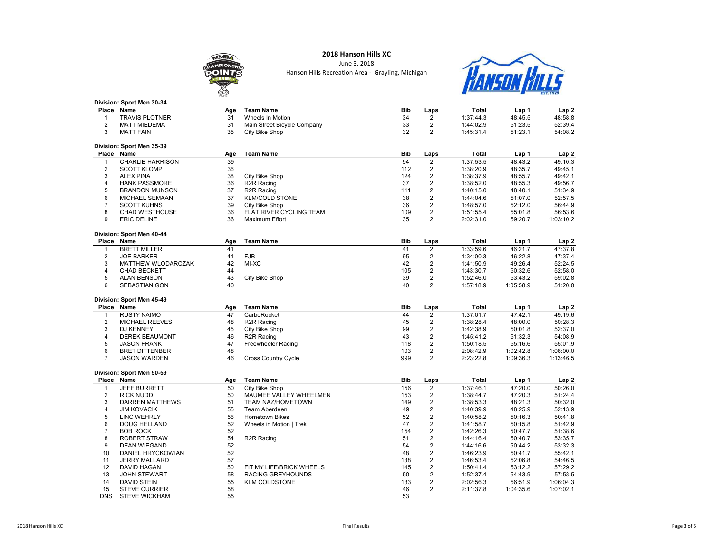### **MMB** OIN

# **HANSON HILLS**

|                         | Division: Sport Men 30-34 |     |                             |            |                         |              |           |                  |
|-------------------------|---------------------------|-----|-----------------------------|------------|-------------------------|--------------|-----------|------------------|
|                         | Place Name                | Age | <b>Team Name</b>            | <b>Bib</b> | Laps                    | <b>Total</b> | Lap 1     | Lap <sub>2</sub> |
| $\mathbf{1}$            | <b>TRAVIS PLOTNER</b>     | 31  | Wheels In Motion            | 34         | $\overline{2}$          | 1:37:44.3    | 48:45.5   | 48:58.8          |
| $\sqrt{2}$              | <b>MATT MIEDEMA</b>       | 31  | Main Street Bicycle Company | 33         | $\overline{2}$          | 1:44:02.9    | 51:23.5   | 52:39.4          |
| 3                       | <b>MATT FAIN</b>          | 35  | City Bike Shop              | 32         | $\overline{2}$          | 1:45:31.4    | 51:23.1   | 54:08.2          |
|                         | Division: Sport Men 35-39 |     |                             |            |                         |              |           |                  |
|                         | Place Name                | Age | <b>Team Name</b>            | <b>Bib</b> | Laps                    | Total        | Lap 1     | Lap <sub>2</sub> |
| $\mathbf{1}$            | <b>CHARLIE HARRISON</b>   | 39  |                             | 94         | $\overline{2}$          | 1:37:53.5    | 48:43.2   | 49:10.3          |
| $\overline{2}$          | <b>SCOTT KLOMP</b>        | 36  |                             | 112        | $\overline{c}$          | 1:38:20.9    | 48:35.7   | 49:45.1          |
| 3                       | <b>ALEX PINA</b>          | 38  | City Bike Shop              | 124        | $\overline{2}$          | 1:38:37.9    | 48:55.7   | 49:42.1          |
| $\overline{\mathbf{4}}$ | <b>HANK PASSMORE</b>      | 36  | R <sub>2R</sub> Racing      | 37         | $\overline{c}$          | 1:38:52.0    | 48:55.3   | 49:56.7          |
| 5                       | <b>BRANDON MUNSON</b>     | 37  | R <sub>2R</sub> Racing      | 111        | $\overline{2}$          | 1:40:15.0    | 48:40.1   | 51:34.9          |
| 6                       | MICHAEL SEMAAN            | 37  | <b>KLM/COLD STONE</b>       | 38         | $\overline{2}$          | 1:44:04.6    | 51:07.0   | 52:57.5          |
| $\boldsymbol{7}$        | <b>SCOTT KUHNS</b>        | 39  | City Bike Shop              | 36         | $\overline{c}$          | 1:48:57.0    | 52:12.0   | 56:44.9          |
| 8                       | <b>CHAD WESTHOUSE</b>     | 36  | FLAT RIVER CYCLING TEAM     | 109        | $\overline{2}$          | 1:51:55.4    | 55:01.8   | 56:53.6          |
| 9                       | <b>ERIC DELINE</b>        | 36  | Maximum Effort              | 35         | $\overline{2}$          | 2:02:31.0    | 59:20.7   | 1:03:10.2        |
|                         | Division: Sport Men 40-44 |     |                             |            |                         |              |           |                  |
|                         | Place Name                | Age | <b>Team Name</b>            | <b>Bib</b> | Laps                    | <b>Total</b> | Lap 1     | Lap 2            |
| 1                       | <b>BRETT MILLER</b>       | 41  |                             | 41         | $\overline{\mathbf{c}}$ | 1:33:59.6    | 46:21.7   | 47:37.8          |
| $\overline{2}$          | <b>JOE BARKER</b>         | 41  | <b>FJB</b>                  | 95         | $\overline{c}$          | 1:34:00.3    | 46:22.8   | 47:37.4          |
| 3                       | MATTHEW WLODARCZAK        | 42  | MI-XC                       | 42         | $\overline{\mathbf{c}}$ | 1:41:50.9    | 49:26.4   | 52:24.5          |
| $\overline{4}$          | <b>CHAD BECKETT</b>       | 44  |                             | 105        | $\overline{2}$          | 1:43:30.7    | 50:32.6   | 52:58.0          |
| 5                       | <b>ALAN BENSON</b>        | 43  | City Bike Shop              | 39         | $\overline{2}$          | 1:52:46.0    | 53:43.2   | 59:02.8          |
| 6                       | <b>SEBASTIAN GON</b>      | 40  |                             | 40         | $\overline{2}$          | 1:57:18.9    | 1:05:58.9 | 51:20.0          |
|                         | Division: Sport Men 45-49 |     |                             |            |                         |              |           |                  |
|                         | Place Name                | Age | <b>Team Name</b>            | <b>Bib</b> | Laps                    | <b>Total</b> | Lap 1     | Lap 2            |
| 1                       | <b>RUSTY NAIMO</b>        | 47  | CarboRocket                 | 44         | $\overline{c}$          | 1:37:01.7    | 47:42.1   | 49:19.6          |
| $\overline{2}$          | <b>MICHAEL REEVES</b>     | 48  | R <sub>2R</sub> Racing      | 45         | $\overline{c}$          | 1:38:28.4    | 48:00.0   | 50:28.3          |
| 3                       | <b>DJ KENNEY</b>          | 45  | City Bike Shop              | 99         | $\overline{2}$          | 1:42:38.9    | 50:01.8   | 52:37.0          |
| $\overline{\mathbf{4}}$ | <b>DEREK BEAUMONT</b>     | 46  | R <sub>2R</sub> Racing      | 43         | $\overline{2}$          | 1:45:41.2    | 51:32.3   | 54:08.9          |
| 5                       | <b>JASON FRANK</b>        | 47  | <b>Freewheeler Racing</b>   | 118        | $\overline{2}$          | 1:50:18.5    | 55:16.6   | 55:01.9          |
| 6                       | <b>BRET DITTENBER</b>     | 48  |                             | 103        | $\overline{2}$          | 2:08:42.9    | 1:02:42.8 | 1:06:00.0        |
| $\overline{7}$          | <b>JASON WARDEN</b>       | 46  | <b>Cross Country Cycle</b>  | 999        | $\overline{2}$          | 2:23:22.8    | 1:09:36.3 | 1:13:46.5        |
|                         | Division: Sport Men 50-59 |     |                             |            |                         |              |           |                  |
| Place                   | Name                      | Age | <b>Team Name</b>            | Bib        | Laps                    | Total        | Lap 1     | Lap 2            |
| $\mathbf{1}$            | <b>JEFF BURRETT</b>       | 50  | City Bike Shop              | 156        | $\overline{2}$          | 1:37:46.1    | 47:20.0   | 50:26.0          |
| $\overline{2}$          | <b>RICK NUDD</b>          | 50  | MAUMEE VALLEY WHEELMEN      | 153        | $\overline{2}$          | 1:38:44.7    | 47:20.3   | 51:24.4          |
| 3                       | <b>DARREN MATTHEWS</b>    | 51  | <b>TEAM NAZ/HOMETOWN</b>    | 149        | $\overline{2}$          | 1:38:53.3    | 48:21.3   | 50:32.0          |
| $\overline{\mathbf{4}}$ | <b>JIM KOVACIK</b>        | 55  | Team Aberdeen               | 49         | $\overline{2}$          | 1:40:39.9    | 48:25.9   | 52:13.9          |
| 5                       | <b>LINC WEHRLY</b>        | 56  | <b>Hometown Bikes</b>       | 52         | $\overline{c}$          | 1:40:58.2    | 50:16.3   | 50:41.8          |
| 6                       | <b>DOUG HELLAND</b>       | 52  | Wheels in Motion   Trek     | 47         | $\overline{2}$          | 1:41:58.7    | 50:15.8   | 51:42.9          |
| $\boldsymbol{7}$        | <b>BOB ROCK</b>           | 52  |                             | 154        | $\overline{2}$          | 1:42:26.3    | 50:47.7   | 51:38.6          |
| 8                       | <b>ROBERT STRAW</b>       | 54  | R <sub>2R</sub> Racing      | 51         | $\overline{\mathbf{c}}$ | 1:44:16.4    | 50:40.7   | 53:35.7          |
| 9                       | <b>DEAN WIEGAND</b>       | 52  |                             | 54         | $\overline{2}$          | 1:44:16.6    | 50:44.2   | 53:32.3          |
| 10                      | DANIEL HRYCKOWIAN         | 52  |                             | 48         | $\overline{2}$          | 1:46:23.9    | 50:41.7   | 55:42.1          |
| 11                      | <b>JERRY MALLARD</b>      | 57  |                             | 138        | $\overline{2}$          | 1:46:53.4    | 52:06.8   | 54:46.5          |
| 12                      | <b>DAVID HAGAN</b>        | 50  | FIT MY LIFE/BRICK WHEELS    | 145        | $\overline{2}$          | 1:50:41.4    | 53:12.2   | 57:29.2          |
| 13                      | <b>JOHN STEWART</b>       | 58  | RACING GREYHOUNDS           | 50         | $\overline{\mathbf{c}}$ | 1:52:37.4    | 54:43.9   | 57:53.5          |
| 14                      | <b>DAVID STEIN</b>        | 55  | <b>KLM COLDSTONE</b>        | 133        | $\overline{2}$          | 2:02:56.3    | 56:51.9   | 1:06:04.3        |
| 15                      | <b>STEVE CURRIER</b>      | 58  |                             | 46         | $\overline{2}$          | 2:11:37.8    | 1:04:35.6 | 1:07:02.1        |
| <b>DNS</b>              | <b>STEVE WICKHAM</b>      | 55  |                             | 53         |                         |              |           |                  |

2018 Hanson Hills XC June 3, 2018 Hanson Hills Recreation Area - Grayling, Michigan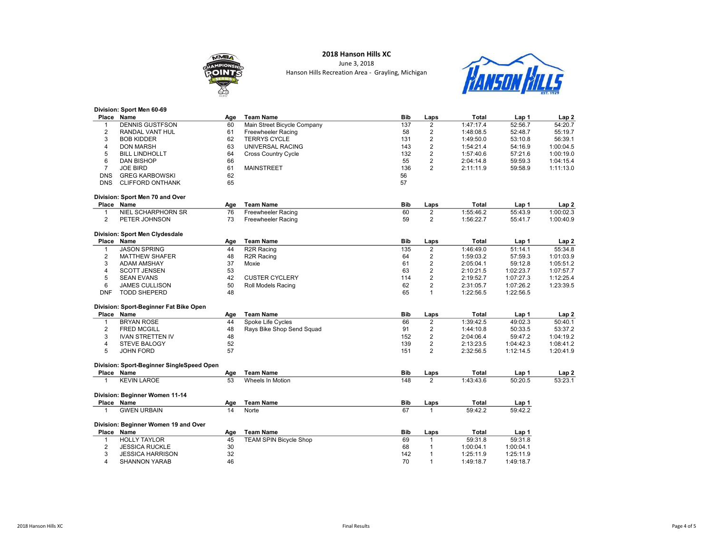## **MMB**

### 2018 Hanson Hills XC

June 3, 2018 Hanson Hills Recreation Area - Grayling, Michigan



#### Division: Sport Men 60-69

| Place          | Name                                      | Age | <b>Team Name</b>              | Bib        | Laps                    | <b>Total</b> | Lap 1     | Lap <sub>2</sub> |
|----------------|-------------------------------------------|-----|-------------------------------|------------|-------------------------|--------------|-----------|------------------|
| $\mathbf{1}$   | <b>DENNIS GUSTFSON</b>                    | 60  | Main Street Bicycle Company   | 137        | $\overline{2}$          | 1:47:17.4    | 52:56.7   | 54:20.7          |
| $\overline{2}$ | RANDAL VANT HUL                           | 61  | <b>Freewheeler Racing</b>     | 58         | $\overline{\mathbf{c}}$ | 1:48:08.5    | 52:48.7   | 55:19.7          |
| 3              | <b>BOB KIDDER</b>                         | 62  | <b>TERRYS CYCLE</b>           | 131        | $\overline{2}$          | 1:49:50.0    | 53:10.8   | 56:39.1          |
| 4              | <b>DON MARSH</b>                          | 63  | UNIVERSAL RACING              | 143        | $\overline{2}$          | 1:54:21.4    | 54:16.9   | 1:00:04.5        |
| 5              | <b>BILL LINDHOLLT</b>                     | 64  | Cross Country Cycle           | 132        | $\overline{2}$          | 1:57:40.6    | 57:21.6   | 1:00:19.0        |
| 6              | <b>DAN BISHOP</b>                         | 66  |                               | 55         | $\overline{2}$          | 2:04:14.8    | 59:59.3   | 1:04:15.4        |
| $\overline{7}$ | <b>JOE BIRD</b>                           | 61  | <b>MAINSTREET</b>             | 136        | $\overline{2}$          | 2:11:11.9    | 59:58.9   | 1:11:13.0        |
| <b>DNS</b>     | <b>GREG KARBOWSKI</b>                     | 62  |                               | 56         |                         |              |           |                  |
| <b>DNS</b>     | <b>CLIFFORD ONTHANK</b>                   | 65  |                               | 57         |                         |              |           |                  |
|                | Division: Sport Men 70 and Over           |     |                               |            |                         |              |           |                  |
|                | Place Name                                | Age | <b>Team Name</b>              | Bib        | Laps                    | <b>Total</b> | Lap 1     | Lap <sub>2</sub> |
| $\mathbf{1}$   | NIEL SCHARPHORN SR                        | 76  | Freewheeler Racing            | 60         | 2                       | 1:55:46.2    | 55:43.9   | 1:00:02.3        |
| $\overline{2}$ | PETER JOHNSON                             | 73  | Freewheeler Racing            | 59         | $\overline{2}$          | 1:56:22.7    | 55:41.7   | 1:00:40.9        |
|                |                                           |     |                               |            |                         |              |           |                  |
|                | Division: Sport Men Clydesdale            |     |                               |            |                         |              |           |                  |
|                | Place Name                                | Age | <b>Team Name</b>              | Bib        | Laps                    | <b>Total</b> | Lap 1     | Lap <sub>2</sub> |
| $\mathbf{1}$   | <b>JASON SPRING</b>                       | 44  | R <sub>2R</sub> Racing        | 135        | 2                       | 1:46:49.0    | 51:14.1   | 55:34.8          |
| $\overline{2}$ | <b>MATTHEW SHAFER</b>                     | 48  | R <sub>2R</sub> Racing        | 64         | $\overline{\mathbf{c}}$ | 1:59:03.2    | 57:59.3   | 1:01:03.9        |
| 3              | <b>ADAM AMSHAY</b>                        | 37  | Moxie                         | 61         | $\overline{2}$          | 2:05:04.1    | 59:12.8   | 1:05:51.2        |
| 4              | <b>SCOTT JENSEN</b>                       | 53  |                               | 63         | $\overline{\mathbf{c}}$ | 2:10:21.5    | 1:02:23.7 | 1:07:57.7        |
| 5              |                                           | 42  | <b>CUSTER CYCLERY</b>         | 114        | $\overline{c}$          | 2:19:52.7    | 1:07:27.3 | 1:12:25.4        |
|                | <b>SEAN EVANS</b>                         |     |                               |            | $\overline{2}$          |              |           |                  |
| 6              | <b>JAMES CULLISON</b>                     | 50  | Roll Models Racing            | 62         |                         | 2:31:05.7    | 1:07:26.2 | 1:23:39.5        |
| <b>DNF</b>     | <b>TODD SHEPERD</b>                       | 48  |                               | 65         | $\mathbf{1}$            | 1:22:56.5    | 1:22:56.5 |                  |
|                | Division: Sport-Beginner Fat Bike Open    |     |                               |            |                         |              |           |                  |
|                | Place Name                                | Age | <b>Team Name</b>              | Bib        | Laps                    | <b>Total</b> | Lap 1     | Lap <sub>2</sub> |
| $\mathbf{1}$   | <b>BRYAN ROSE</b>                         | 44  | Spoke Life Cycles             | 66         | 2                       | 1:39:42.5    | 49:02.3   | 50:40.1          |
|                |                                           |     |                               | 91         |                         |              |           | 53:37.2          |
| $\overline{2}$ | <b>FRED MCGILL</b>                        | 48  | Rays Bike Shop Send Squad     |            | $\overline{2}$          | 1:44:10.8    | 50:33.5   |                  |
| 3              | <b>IVAN STRETTEN IV</b>                   | 48  |                               | 152        | $\overline{2}$          | 2:04:06.4    | 59:47.2   | 1:04:19.2        |
| 4              | <b>STEVE BALOGY</b>                       | 52  |                               | 139        | $\overline{2}$          | 2:13:23.5    | 1:04:42.3 | 1:08:41.2        |
| 5              | <b>JOHN FORD</b>                          | 57  |                               | 151        | $\overline{2}$          | 2:32:56.5    | 1:12:14.5 | 1:20:41.9        |
|                |                                           |     |                               |            |                         |              |           |                  |
|                | Division: Sport-Beginner SingleSpeed Open |     |                               |            |                         |              |           |                  |
|                | Place Name                                | Age | <b>Team Name</b>              | Bib        | Laps                    | <b>Total</b> | Lap 1     | Lap <sub>2</sub> |
| 1              | <b>KEVIN LAROE</b>                        | 53  | Wheels In Motion              | 148        | 2                       | 1:43:43.6    | 50:20.5   | 53:23.1          |
|                | Division: Beginner Women 11-14            |     |                               |            |                         |              |           |                  |
|                | Place Name                                | Age | <b>Team Name</b>              | Bib        | Laps                    | <b>Total</b> | Lap 1     |                  |
| 1              | <b>GWEN URBAIN</b>                        | 14  | Norte                         | 67         | $\mathbf{1}$            | 59:42.2      | 59:42.2   |                  |
|                |                                           |     |                               |            |                         |              |           |                  |
|                | Division: Beginner Women 19 and Over      |     |                               |            |                         |              |           |                  |
|                | Place Name                                | Age | <b>Team Name</b>              | <b>Bib</b> | Laps                    | <b>Total</b> | Lap 1     |                  |
| $\mathbf{1}$   | <b>HOLLY TAYLOR</b>                       | 45  | <b>TEAM SPIN Bicycle Shop</b> | 69         | $\mathbf{1}$            | 59:31.8      | 59:31.8   |                  |
| $\overline{2}$ | <b>JESSICA RUCKLE</b>                     | 30  |                               | 68         | $\mathbf{1}$            | 1:00:04.1    | 1:00:04.1 |                  |
| 3              | <b>JESSICA HARRISON</b>                   | 32  |                               | 142        | $\mathbf{1}$            | 1:25:11.9    | 1:25:11.9 |                  |
| $\overline{4}$ | <b>SHANNON YARAB</b>                      | 46  |                               | 70         | $\mathbf{1}$            | 1:49:18.7    | 1:49:18.7 |                  |